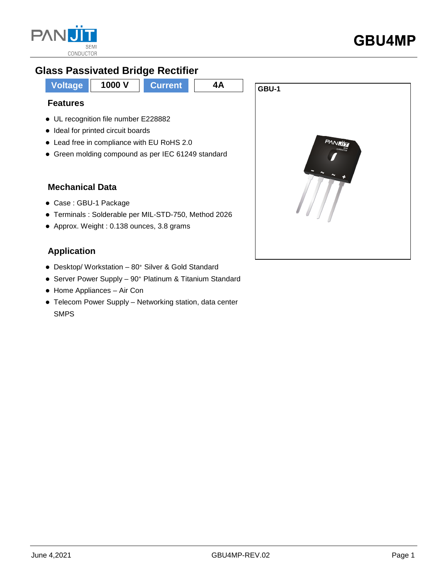

# **Glass Passivated Bridge Rectifier**

**Voltage 1000 V Current** 4A **GBU-1** 

### **Features**

- UL recognition file number E228882
- Ideal for printed circuit boards
- Lead free in compliance with EU RoHS 2.0
- Green molding compound as per IEC 61249 standard

### **Mechanical Data**

- Case : GBU-1 Package
- Terminals : Solderable per MIL-STD-750, Method 2026
- Approx. Weight : 0.138 ounces, 3.8 grams

## **Application**

- Desktop/ Workstation 80<sup>+</sup> Silver & Gold Standard
- Server Power Supply 90<sup>+</sup> Platinum & Titanium Standard
- Home Appliances Air Con
- Telecom Power Supply Networking station, data center SMPS

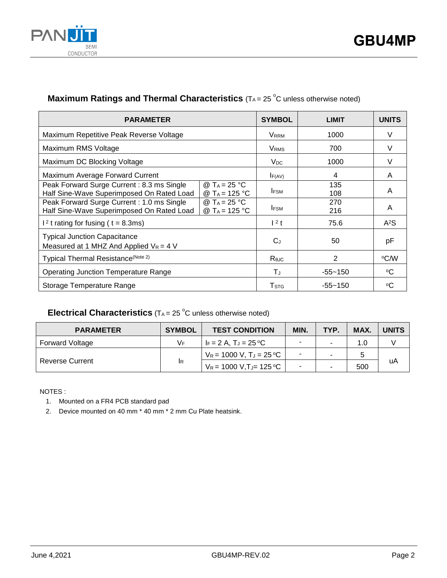

### **Maximum Ratings and Thermal Characteristics** (TA= 25 °C unless otherwise noted)

| <b>PARAMETER</b>                                                                       |                                                       | <b>SYMBOL</b>           | <b>LIMIT</b> | <b>UNITS</b> |
|----------------------------------------------------------------------------------------|-------------------------------------------------------|-------------------------|--------------|--------------|
| Maximum Repetitive Peak Reverse Voltage                                                |                                                       | <b>VRRM</b>             | 1000         | V            |
| Maximum RMS Voltage                                                                    |                                                       | <b>V</b> <sub>RMS</sub> | 700          | V            |
| Maximum DC Blocking Voltage                                                            |                                                       | V <sub>DC</sub>         | 1000         | V            |
| Maximum Average Forward Current                                                        |                                                       | IF(AV)                  | 4            | A            |
| Peak Forward Surge Current: 8.3 ms Single<br>Half Sine-Wave Superimposed On Rated Load | @ T <sub>A</sub> = 25 °C<br>@ T <sub>A</sub> = 125 °C | <b>IFSM</b>             | 135<br>108   | A            |
| Peak Forward Surge Current: 1.0 ms Single<br>Half Sine-Wave Superimposed On Rated Load | @ T <sub>A</sub> = 25 °C<br>@ T <sub>A</sub> = 125 °C | <b>IFSM</b>             | 270<br>216   | A            |
| $12$ t rating for fusing ( t = 8.3ms)                                                  |                                                       | $1^2$ t                 | 75.6         | $A^2S$       |
| <b>Typical Junction Capacitance</b><br>Measured at 1 MHZ And Applied $V_R = 4$ V       |                                                       | $C_{J}$                 | 50           | рF           |
| Typical Thermal Resistance(Note 2)                                                     |                                                       | Rejc                    | 2            | °C∕W         |
| <b>Operating Junction Temperature Range</b>                                            |                                                       | ТJ                      | -55~150      | °C           |
| Storage Temperature Range                                                              |                                                       | T <sub>STG</sub>        | $-55 - 150$  | ∘C           |

### **Electrical Characteristics**  $(T_A = 25 \degree C$  unless otherwise noted)

| <b>PARAMETER</b>       | <b>SYMBOL</b> | <b>TEST CONDITION</b>                 | <b>MIN</b> | TYP. | MAX. | <b>UNITS</b> |
|------------------------|---------------|---------------------------------------|------------|------|------|--------------|
| <b>Forward Voltage</b> | V⊧            | $F = 2 A$ . T $J = 25 \degree C$      |            |      | 1.0  |              |
| <b>Reverse Current</b> | <b>IR</b>     | $V_R = 1000 V$ , $T_J = 25 \degree C$ | ۰          |      |      |              |
|                        |               | $V_R$ = 1000 V,TJ= 125 °C             |            |      | 500  | uA           |

NOTES :

1. Mounted on a FR4 PCB standard pad

2. Device mounted on 40 mm \* 40 mm \* 2 mm Cu Plate heatsink.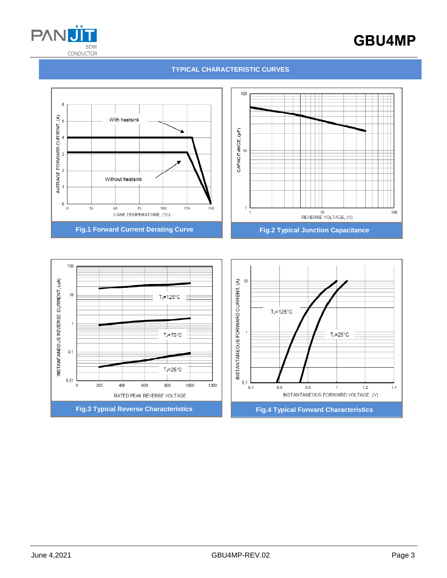

# **GBU4MP**

#### **TYPICAL CHARACTERISTIC CURVES**



**Fig.3 Typical Reverse Characteristics Fig.4 Typical Forward Characteristics**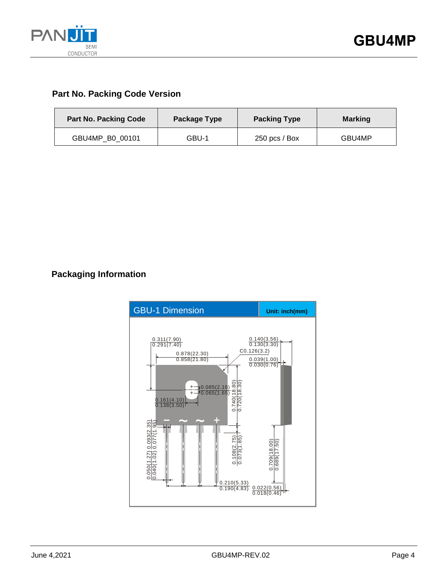

# **Part No. Packing Code Version**

| <b>Part No. Packing Code</b> | Package Type | <b>Packing Type</b> | <b>Marking</b> |  |
|------------------------------|--------------|---------------------|----------------|--|
| GBU4MP B0 00101              | GBU-1        | $250$ pcs / Box     | GBU4MP         |  |

## **Packaging Information**